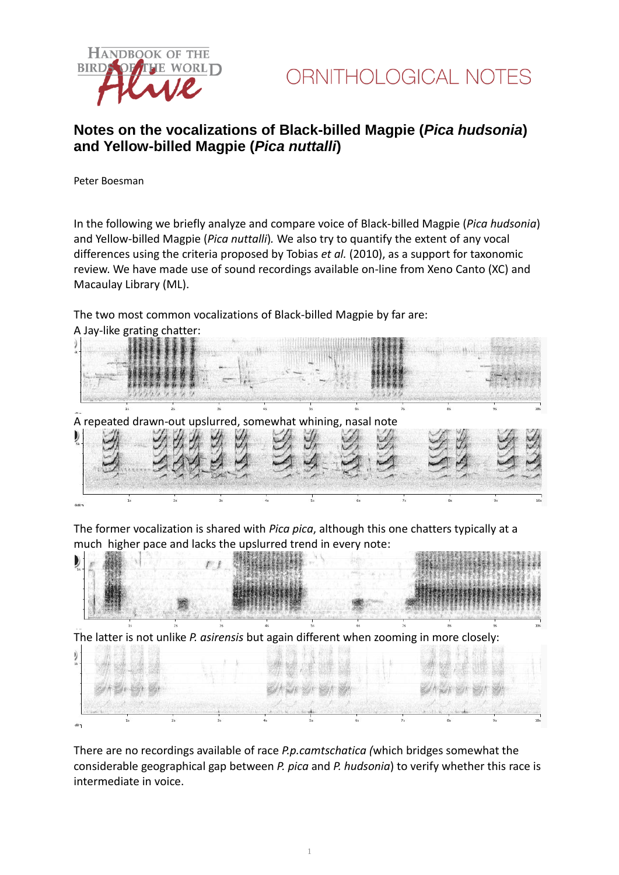



## **Notes on the vocalizations of Black-billed Magpie (***Pica hudsonia***) and Yellow-billed Magpie (***Pica nuttalli***)**

Peter Boesman

In the following we briefly analyze and compare voice of Black-billed Magpie (*Pica hudsonia*) and Yellow-billed Magpie (*Pica nuttalli*)*.* We also try to quantify the extent of any vocal differences using the criteria proposed by Tobias *et al.* (2010), as a support for taxonomic review. We have made use of sound recordings available on-line from Xeno Canto (XC) and Macaulay Library (ML).

The two most common vocalizations of Black-billed Magpie by far are: A Jay-like grating chatter:



The former vocalization is shared with *Pica pica*, although this one chatters typically at a much higher pace and lacks the upslurred trend in every note:



There are no recordings available of race *P.p.camtschatica (*which bridges somewhat the considerable geographical gap between *P. pica* and *P. hudsonia*) to verify whether this race is intermediate in voice.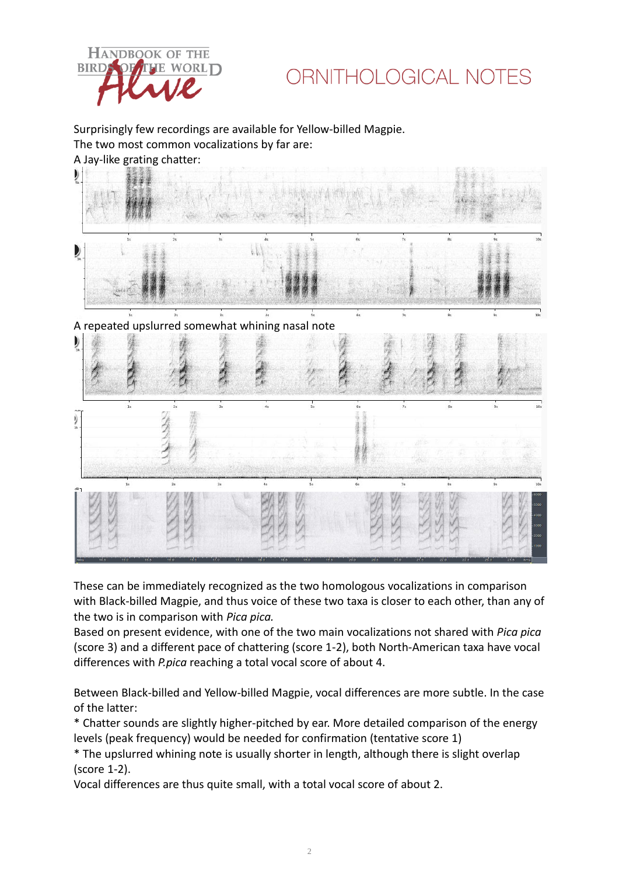

## ORNITHOLOGICAL NOTES

Surprisingly few recordings are available for Yellow-billed Magpie. The two most common vocalizations by far are: A Jay-like grating chatter:



These can be immediately recognized as the two homologous vocalizations in comparison with Black-billed Magpie, and thus voice of these two taxa is closer to each other, than any of the two is in comparison with *Pica pica.*

Based on present evidence, with one of the two main vocalizations not shared with *Pica pica* (score 3) and a different pace of chattering (score 1-2), both North-American taxa have vocal differences with *P.pica* reaching a total vocal score of about 4.

Between Black-billed and Yellow-billed Magpie, vocal differences are more subtle. In the case of the latter:

\* Chatter sounds are slightly higher-pitched by ear. More detailed comparison of the energy levels (peak frequency) would be needed for confirmation (tentative score 1)

\* The upslurred whining note is usually shorter in length, although there is slight overlap (score 1-2).

Vocal differences are thus quite small, with a total vocal score of about 2.